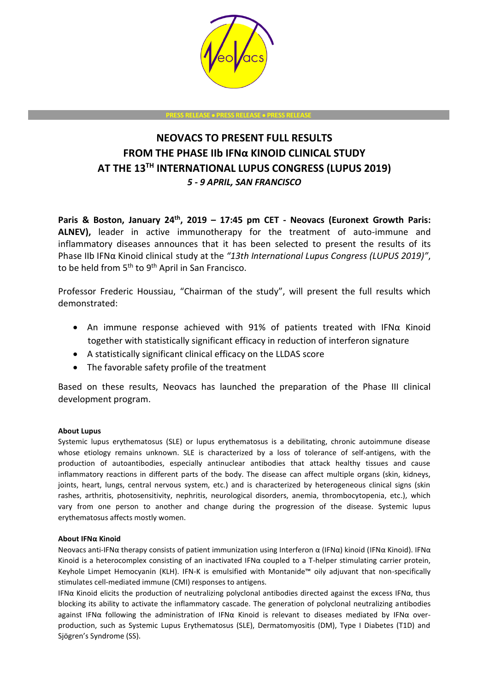

**PRESS RELEASE** • **PRESS RELEASE** • **PRESS RELEASE**

# **NEOVACS TO PRESENT FULL RESULTS FROM THE PHASE IIb IFNα KINOID CLINICAL STUDY AT THE 13TH INTERNATIONAL LUPUS CONGRESS (LUPUS 2019)** *5 - 9 APRIL, SAN FRANCISCO*

**Paris & Boston, January 24th , 2019 – 17:45 pm CET - Neovacs (Euronext Growth Paris: ALNEV),** leader in active immunotherapy for the treatment of auto-immune and inflammatory diseases announces that it has been selected to present the results of its Phase IIb IFNα Kinoid clinical study at the *"13th International Lupus Congress (LUPUS 2019)"*, to be held from 5<sup>th</sup> to 9<sup>th</sup> April in San Francisco.

Professor Frederic Houssiau, "Chairman of the study", will present the full results which demonstrated:

- An immune response achieved with 91% of patients treated with IFNα Kinoid together with statistically significant efficacy in reduction of interferon signature
- A statistically significant clinical efficacy on the LLDAS score
- The favorable safety profile of the treatment

Based on these results, Neovacs has launched the preparation of the Phase III clinical development program.

## **About Lupus**

Systemic lupus erythematosus (SLE) or lupus erythematosus is a debilitating, chronic autoimmune disease whose etiology remains unknown. SLE is characterized by a loss of tolerance of self-antigens, with the production of autoantibodies, especially antinuclear antibodies that attack healthy tissues and cause inflammatory reactions in different parts of the body. The disease can affect multiple organs (skin, kidneys, joints, heart, lungs, central nervous system, etc.) and is characterized by heterogeneous clinical signs (skin rashes, arthritis, photosensitivity, nephritis, neurological disorders, anemia, thrombocytopenia, etc.), which vary from one person to another and change during the progression of the disease. Systemic lupus erythematosus affects mostly women.

## **About IFNα Kinoid**

Neovacs anti-IFNα therapy consists of patient immunization using Interferon α (IFNα) kinoid (IFNα Kinoid). IFNα Kinoid is a heterocomplex consisting of an inactivated IFNα coupled to a T-helper stimulating carrier protein, Keyhole Limpet Hemocyanin (KLH). IFN-K is emulsified with Montanide™ oily adjuvant that non-specifically stimulates cell-mediated immune (CMI) responses to antigens.

IFNα Kinoid elicits the production of neutralizing polyclonal antibodies directed against the excess IFNα, thus blocking its ability to activate the inflammatory cascade. The generation of polyclonal neutralizing antibodies against IFNα following the administration of IFNα Kinoid is relevant to diseases mediated by IFNα overproduction, such as Systemic Lupus Erythematosus (SLE), Dermatomyositis (DM), Type I Diabetes (T1D) and Sjögren's Syndrome (SS).